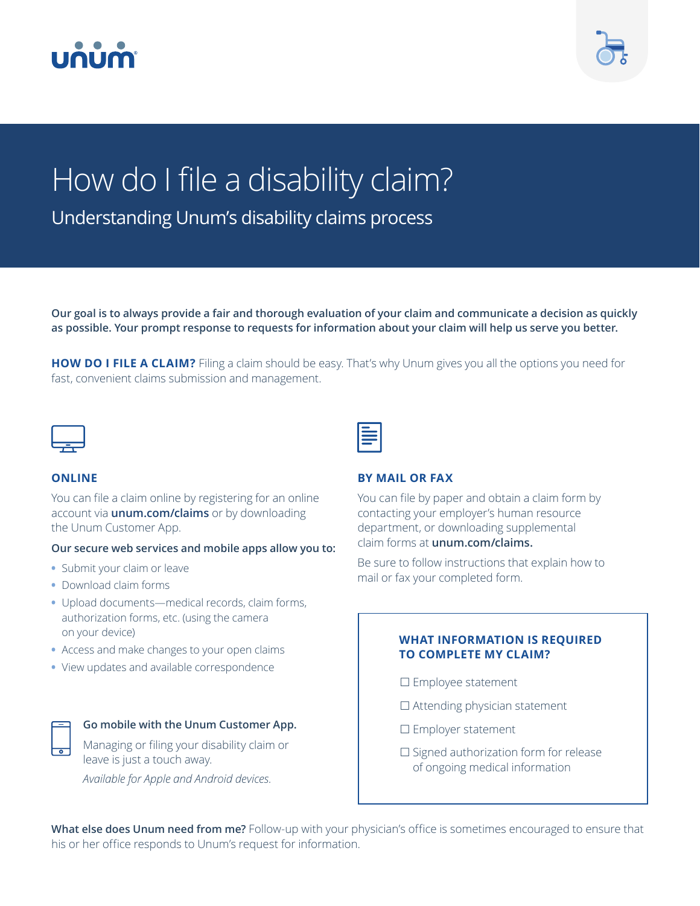



# How do I file a disability claim?

Understanding Unum's disability claims process

**Our goal is to always provide a fair and thorough evaluation of your claim and communicate a decision as quickly as possible. Your prompt response to requests for information about your claim will help us serve you better.**

**HOW DO I FILE A CLAIM?** Filing a claim should be easy. That's why Unum gives you all the options you need for fast, convenient claims submission and management.



#### **ONLINE**

You can file a claim online by registering for an online account via **unum.com/claims** or by downloading the Unum Customer App.

#### **Our secure web services and mobile apps allow you to:**

- **•** Submit your claim or leave
- **•** Download claim forms
- **•** Upload documents—medical records, claim forms, authorization forms, etc. (using the camera on your device)
- **•** Access and make changes to your open claims
- **•** View updates and available correspondence



#### **Go mobile with the Unum Customer App.**

Managing or filing your disability claim or leave is just a touch away.

*Available for Apple and Android devices.*

#### **BY MAIL OR FAX**

You can file by paper and obtain a claim form by contacting your employer's human resource department, or downloading supplemental claim forms at **unum.com/claims.**

Be sure to follow instructions that explain how to mail or fax your completed form.

#### **WHAT INFORMATION IS REQUIRED TO COMPLETE MY CLAIM?**

- $\square$  Employee statement
- $\square$  Attending physician statement
- □ Employer statement
- $\square$  Signed authorization form for release of ongoing medical information

**What else does Unum need from me?** Follow-up with your physician's office is sometimes encouraged to ensure that his or her office responds to Unum's request for information.